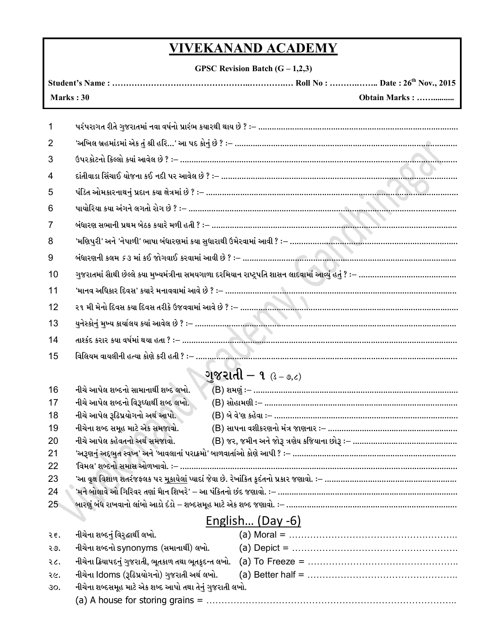## **VIVEKANAND ACADEMY**

**GPSC Revision Batch (G – 1,2,3)**

| Obtain Marks :<br>Marks: 30    |                                                                                                                                                                                                                  |  |  |
|--------------------------------|------------------------------------------------------------------------------------------------------------------------------------------------------------------------------------------------------------------|--|--|
| 1                              | પરંપરાગત રીતે ગુજરાતમાં નવા વર્ષનો પ્રારંભ કયારથી થાય છે ? :– ………………………………………………………………………………                                                                                                                     |  |  |
| 2                              |                                                                                                                                                                                                                  |  |  |
| 3                              |                                                                                                                                                                                                                  |  |  |
|                                |                                                                                                                                                                                                                  |  |  |
| 4                              |                                                                                                                                                                                                                  |  |  |
| 5                              |                                                                                                                                                                                                                  |  |  |
| 6                              |                                                                                                                                                                                                                  |  |  |
| 7                              |                                                                                                                                                                                                                  |  |  |
| 8                              |                                                                                                                                                                                                                  |  |  |
| 9                              |                                                                                                                                                                                                                  |  |  |
| 10                             |                                                                                                                                                                                                                  |  |  |
| 11                             |                                                                                                                                                                                                                  |  |  |
| 12                             |                                                                                                                                                                                                                  |  |  |
| 13                             |                                                                                                                                                                                                                  |  |  |
| 14                             |                                                                                                                                                                                                                  |  |  |
| 15                             |                                                                                                                                                                                                                  |  |  |
| <b>ાજરાતી – ૧</b> $(3 - 9, 6)$ |                                                                                                                                                                                                                  |  |  |
| 16                             | નીચે આપેલ શબ્દનો સામાનાર્થી શબ્દ લખો.                                                                                                                                                                            |  |  |
| 17                             | નીચે આપેલ શબ્દનો વિરૂઘ્ધાર્થી શબ્દ લખો.                                                                                                                                                                          |  |  |
| 18                             | નીચે આપેલ રૂઢિપ્રયોગનો અર્થ આપો.                                                                                                                                                                                 |  |  |
| 19                             | નીચેના શબ્દ સમૂહ માટે એક સમજાવો.                                                                                                                                                                                 |  |  |
| 20                             | નીચે આપેલ કહેવતનો અર્થ સમજાવો.                                                                                                                                                                                   |  |  |
| 21                             |                                                                                                                                                                                                                  |  |  |
| 22                             |                                                                                                                                                                                                                  |  |  |
| 23<br>24                       | 'આ વૃક્ષ વિશાળ શતરંજફલક પર <u>મૂકાયેલાં</u> પ્યાદાં જેવા છે. રેખાંકિત કૃદંતનો પ્રકાર જણાવો. ઃ– …………………………………………………<br>'મને બોલાવે ઓ ગિરિવર તણાં માૈન શિખરે' – આ પંકિતનો છંદ જણાવો. :– …………………………………………………………………… |  |  |
| 25 <sub>1</sub>                | બારણું બંધ રાખવાનો લાંબો આડો દંડો – શબ્દસમૂહ માટે એક શબ્દ જણાવો. :– ………………………………………………………………                                                                                                                     |  |  |
| English (Day -6)               |                                                                                                                                                                                                                  |  |  |
| २६.                            | નીચેના શબ્દનું વિરૃદ્ધાર્થી લખો.                                                                                                                                                                                 |  |  |
| २७.                            | નીચેના શબ્દનો synonyms (સમાનાર્થી) લખો.                                                                                                                                                                          |  |  |
| २८.                            | નીચેના ક્રિયાપદનું ગુજરાતી, ભૂતકાળ તથા ભૂતકુદન્ત લખો.                                                                                                                                                            |  |  |
| २૯.                            | નીચેના ldoms (રૂઢિપ્રયોગનો) ગુજરાતી અર્થ લખો.                                                                                                                                                                    |  |  |
| 30.                            | નીચેના શબ્દસમૂહ માટે એક શબ્દ આપો તથા તેનું ગુજરાતી લખો.                                                                                                                                                          |  |  |

(a) A house for storing grains = ………………………………………………………………………..